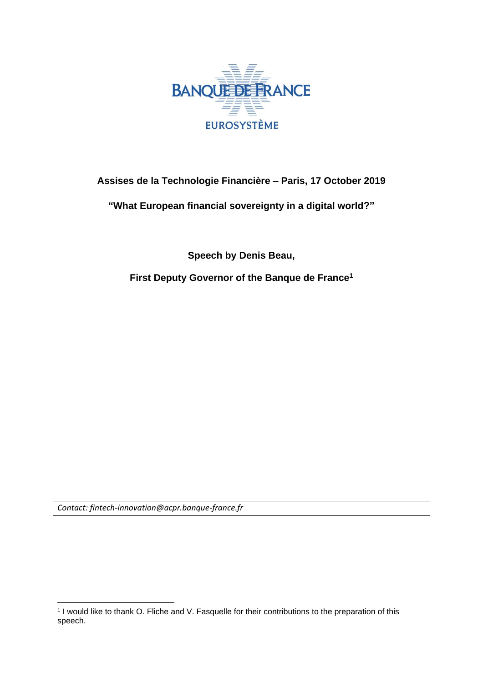

## **Assises de la Technologie Financière – Paris, 17 October 2019**

**"What European financial sovereignty in a digital world?"**

**Speech by Denis Beau,**

**First Deputy Governor of the Banque de France<sup>1</sup>**

*Contact: fintech-innovation@acpr.banque-france.fr*

**<sup>.</sup>** 1 I would like to thank O. Fliche and V. Fasquelle for their contributions to the preparation of this speech.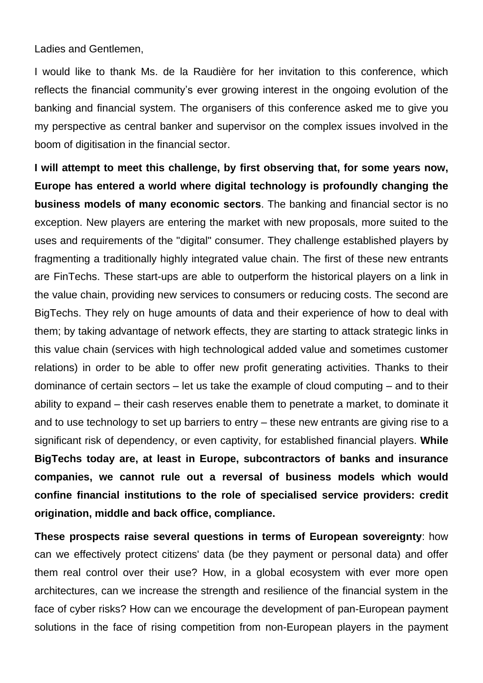Ladies and Gentlemen,

I would like to thank Ms. de la Raudière for her invitation to this conference, which reflects the financial community's ever growing interest in the ongoing evolution of the banking and financial system. The organisers of this conference asked me to give you my perspective as central banker and supervisor on the complex issues involved in the boom of digitisation in the financial sector.

**I will attempt to meet this challenge, by first observing that, for some years now, Europe has entered a world where digital technology is profoundly changing the business models of many economic sectors**. The banking and financial sector is no exception. New players are entering the market with new proposals, more suited to the uses and requirements of the "digital" consumer. They challenge established players by fragmenting a traditionally highly integrated value chain. The first of these new entrants are FinTechs. These start-ups are able to outperform the historical players on a link in the value chain, providing new services to consumers or reducing costs. The second are BigTechs. They rely on huge amounts of data and their experience of how to deal with them; by taking advantage of network effects, they are starting to attack strategic links in this value chain (services with high technological added value and sometimes customer relations) in order to be able to offer new profit generating activities. Thanks to their dominance of certain sectors – let us take the example of cloud computing – and to their ability to expand – their cash reserves enable them to penetrate a market, to dominate it and to use technology to set up barriers to entry – these new entrants are giving rise to a significant risk of dependency, or even captivity, for established financial players. **While BigTechs today are, at least in Europe, subcontractors of banks and insurance companies, we cannot rule out a reversal of business models which would confine financial institutions to the role of specialised service providers: credit origination, middle and back office, compliance.**

**These prospects raise several questions in terms of European sovereignty**: how can we effectively protect citizens' data (be they payment or personal data) and offer them real control over their use? How, in a global ecosystem with ever more open architectures, can we increase the strength and resilience of the financial system in the face of cyber risks? How can we encourage the development of pan-European payment solutions in the face of rising competition from non-European players in the payment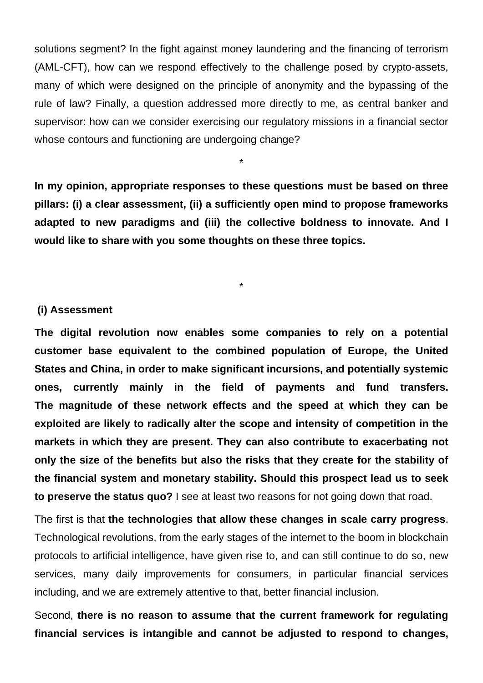solutions segment? In the fight against money laundering and the financing of terrorism (AML-CFT), how can we respond effectively to the challenge posed by crypto-assets, many of which were designed on the principle of anonymity and the bypassing of the rule of law? Finally, a question addressed more directly to me, as central banker and supervisor: how can we consider exercising our regulatory missions in a financial sector whose contours and functioning are undergoing change?

**In my opinion, appropriate responses to these questions must be based on three pillars: (i) a clear assessment, (ii) a sufficiently open mind to propose frameworks adapted to new paradigms and (iii) the collective boldness to innovate. And I would like to share with you some thoughts on these three topics.**

\*

\*

## **(i) Assessment**

**The digital revolution now enables some companies to rely on a potential customer base equivalent to the combined population of Europe, the United States and China, in order to make significant incursions, and potentially systemic ones, currently mainly in the field of payments and fund transfers. The magnitude of these network effects and the speed at which they can be exploited are likely to radically alter the scope and intensity of competition in the markets in which they are present. They can also contribute to exacerbating not only the size of the benefits but also the risks that they create for the stability of the financial system and monetary stability. Should this prospect lead us to seek to preserve the status quo?** I see at least two reasons for not going down that road.

The first is that **the technologies that allow these changes in scale carry progress**. Technological revolutions, from the early stages of the internet to the boom in blockchain protocols to artificial intelligence, have given rise to, and can still continue to do so, new services, many daily improvements for consumers, in particular financial services including, and we are extremely attentive to that, better financial inclusion.

Second, **there is no reason to assume that the current framework for regulating financial services is intangible and cannot be adjusted to respond to changes,**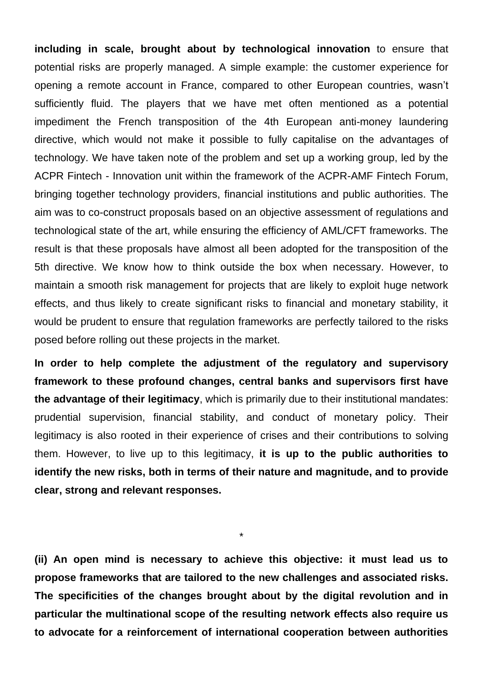**including in scale, brought about by technological innovation** to ensure that potential risks are properly managed. A simple example: the customer experience for opening a remote account in France, compared to other European countries, wasn't sufficiently fluid. The players that we have met often mentioned as a potential impediment the French transposition of the 4th European anti-money laundering directive, which would not make it possible to fully capitalise on the advantages of technology. We have taken note of the problem and set up a working group, led by the ACPR Fintech - Innovation unit within the framework of the ACPR-AMF Fintech Forum, bringing together technology providers, financial institutions and public authorities. The aim was to co-construct proposals based on an objective assessment of regulations and technological state of the art, while ensuring the efficiency of AML/CFT frameworks. The result is that these proposals have almost all been adopted for the transposition of the 5th directive. We know how to think outside the box when necessary. However, to maintain a smooth risk management for projects that are likely to exploit huge network effects, and thus likely to create significant risks to financial and monetary stability, it would be prudent to ensure that regulation frameworks are perfectly tailored to the risks posed before rolling out these projects in the market.

**In order to help complete the adjustment of the regulatory and supervisory framework to these profound changes, central banks and supervisors first have the advantage of their legitimacy**, which is primarily due to their institutional mandates: prudential supervision, financial stability, and conduct of monetary policy. Their legitimacy is also rooted in their experience of crises and their contributions to solving them. However, to live up to this legitimacy, **it is up to the public authorities to identify the new risks, both in terms of their nature and magnitude, and to provide clear, strong and relevant responses.**

**(ii) An open mind is necessary to achieve this objective: it must lead us to propose frameworks that are tailored to the new challenges and associated risks. The specificities of the changes brought about by the digital revolution and in particular the multinational scope of the resulting network effects also require us to advocate for a reinforcement of international cooperation between authorities** 

\*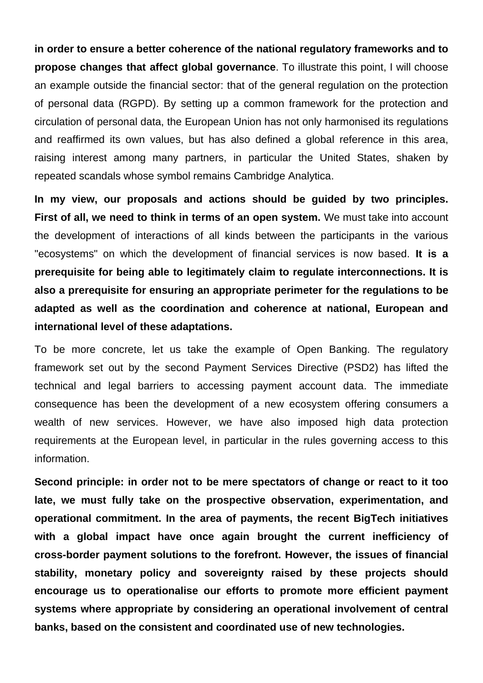**in order to ensure a better coherence of the national regulatory frameworks and to propose changes that affect global governance**. To illustrate this point, I will choose an example outside the financial sector: that of the general regulation on the protection of personal data (RGPD). By setting up a common framework for the protection and circulation of personal data, the European Union has not only harmonised its regulations and reaffirmed its own values, but has also defined a global reference in this area, raising interest among many partners, in particular the United States, shaken by repeated scandals whose symbol remains Cambridge Analytica.

**In my view, our proposals and actions should be guided by two principles. First of all, we need to think in terms of an open system.** We must take into account the development of interactions of all kinds between the participants in the various "ecosystems" on which the development of financial services is now based. **It is a prerequisite for being able to legitimately claim to regulate interconnections. It is also a prerequisite for ensuring an appropriate perimeter for the regulations to be adapted as well as the coordination and coherence at national, European and international level of these adaptations.**

To be more concrete, let us take the example of Open Banking. The regulatory framework set out by the second Payment Services Directive (PSD2) has lifted the technical and legal barriers to accessing payment account data. The immediate consequence has been the development of a new ecosystem offering consumers a wealth of new services. However, we have also imposed high data protection requirements at the European level, in particular in the rules governing access to this information.

**Second principle: in order not to be mere spectators of change or react to it too late, we must fully take on the prospective observation, experimentation, and operational commitment. In the area of payments, the recent BigTech initiatives with a global impact have once again brought the current inefficiency of cross-border payment solutions to the forefront. However, the issues of financial stability, monetary policy and sovereignty raised by these projects should encourage us to operationalise our efforts to promote more efficient payment systems where appropriate by considering an operational involvement of central banks, based on the consistent and coordinated use of new technologies.**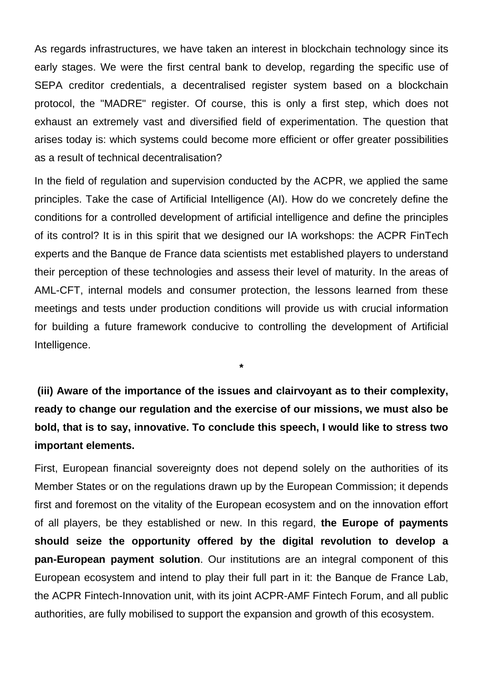As regards infrastructures, we have taken an interest in blockchain technology since its early stages. We were the first central bank to develop, regarding the specific use of SEPA creditor credentials, a decentralised register system based on a blockchain protocol, the "MADRE" register. Of course, this is only a first step, which does not exhaust an extremely vast and diversified field of experimentation. The question that arises today is: which systems could become more efficient or offer greater possibilities as a result of technical decentralisation?

In the field of regulation and supervision conducted by the ACPR, we applied the same principles. Take the case of Artificial Intelligence (AI). How do we concretely define the conditions for a controlled development of artificial intelligence and define the principles of its control? It is in this spirit that we designed our IA workshops: the ACPR FinTech experts and the Banque de France data scientists met established players to understand their perception of these technologies and assess their level of maturity. In the areas of AML-CFT, internal models and consumer protection, the lessons learned from these meetings and tests under production conditions will provide us with crucial information for building a future framework conducive to controlling the development of Artificial Intelligence.

**(iii) Aware of the importance of the issues and clairvoyant as to their complexity, ready to change our regulation and the exercise of our missions, we must also be bold, that is to say, innovative. To conclude this speech, I would like to stress two important elements.**

**\***

First, European financial sovereignty does not depend solely on the authorities of its Member States or on the regulations drawn up by the European Commission; it depends first and foremost on the vitality of the European ecosystem and on the innovation effort of all players, be they established or new. In this regard, **the Europe of payments should seize the opportunity offered by the digital revolution to develop a pan-European payment solution**. Our institutions are an integral component of this European ecosystem and intend to play their full part in it: the Banque de France Lab, the ACPR Fintech-Innovation unit, with its joint ACPR-AMF Fintech Forum, and all public authorities, are fully mobilised to support the expansion and growth of this ecosystem.